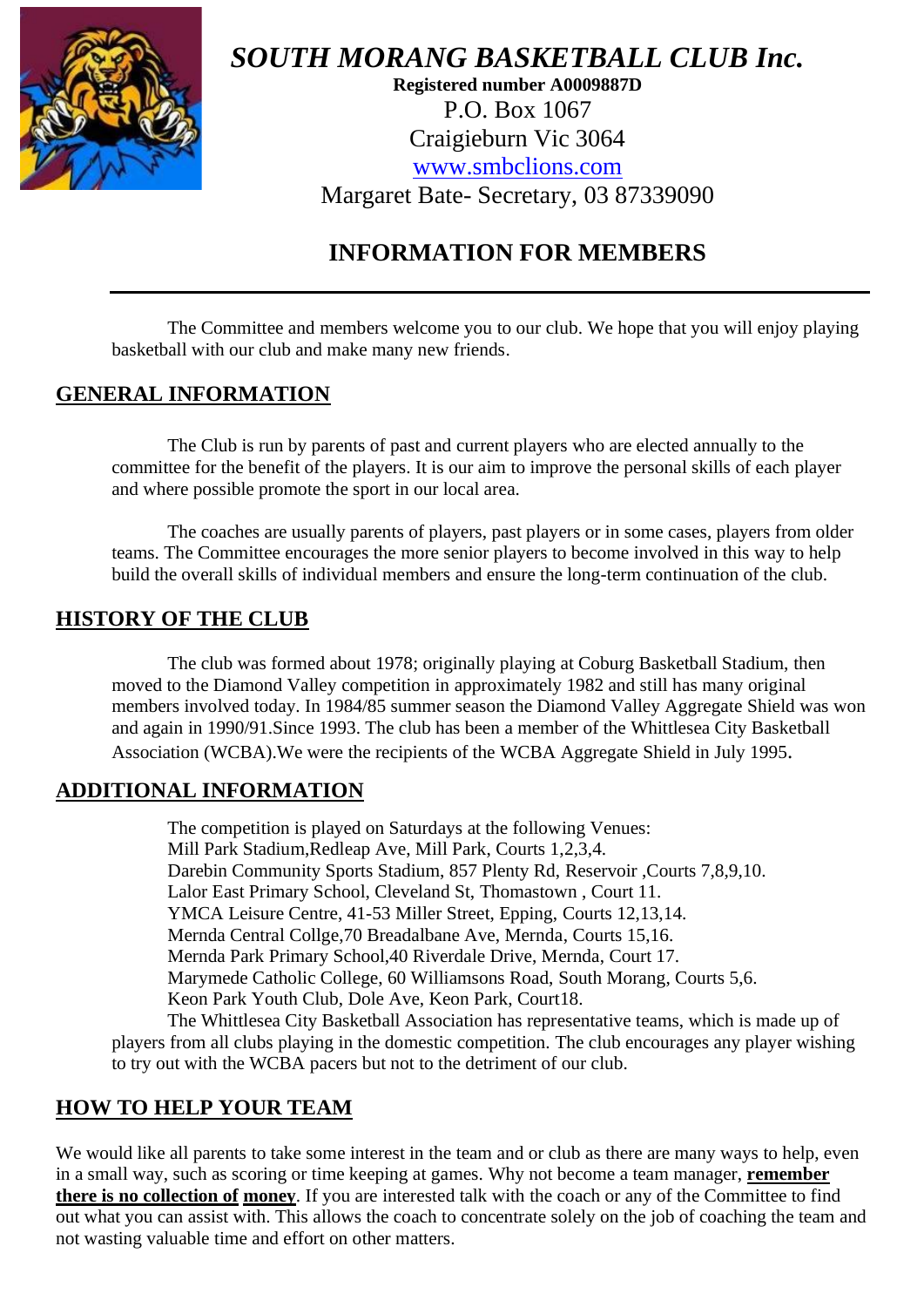

*SOUTH MORANG BASKETBALL CLUB Inc.*

**Registered number A0009887D** P.O. Box 1067 Craigieburn Vic 3064 [www.smbclions.com](http://www.smbclions.com/) Margaret Bate- Secretary, 03 87339090

# **INFORMATION FOR MEMBERS**

The Committee and members welcome you to our club. We hope that you will enjoy playing basketball with our club and make many new friends.

## **GENERAL INFORMATION**

The Club is run by parents of past and current players who are elected annually to the committee for the benefit of the players. It is our aim to improve the personal skills of each player and where possible promote the sport in our local area.

The coaches are usually parents of players, past players or in some cases, players from older teams. The Committee encourages the more senior players to become involved in this way to help build the overall skills of individual members and ensure the long-term continuation of the club.

#### **HISTORY OF THE CLUB**

The club was formed about 1978; originally playing at Coburg Basketball Stadium, then moved to the Diamond Valley competition in approximately 1982 and still has many original members involved today. In 1984/85 summer season the Diamond Valley Aggregate Shield was won and again in 1990/91.Since 1993. The club has been a member of the Whittlesea City Basketball Association (WCBA).We were the recipients of the WCBA Aggregate Shield in July 1995.

### **ADDITIONAL INFORMATION**

The competition is played on Saturdays at the following Venues: Mill Park Stadium,Redleap Ave, Mill Park, Courts 1,2,3,4. Darebin Community Sports Stadium, 857 Plenty Rd, Reservoir ,Courts 7,8,9,10. Lalor East Primary School, Cleveland St, Thomastown , Court 11. YMCA Leisure Centre, 41-53 Miller Street, Epping, Courts 12,13,14. Mernda Central Collge,70 Breadalbane Ave, Mernda, Courts 15,16. Mernda Park Primary School,40 Riverdale Drive, Mernda, Court 17. Marymede Catholic College, 60 Williamsons Road, South Morang, Courts 5,6. Keon Park Youth Club, Dole Ave, Keon Park, Court18. The Whittlesea City Basketball Association has representative teams, which is made up of

players from all clubs playing in the domestic competition. The club encourages any player wishing to try out with the WCBA pacers but not to the detriment of our club.

## **HOW TO HELP YOUR TEAM**

We would like all parents to take some interest in the team and or club as there are many ways to help, even in a small way, such as scoring or time keeping at games. Why not become a team manager, **remember there is no collection of money**. If you are interested talk with the coach or any of the Committee to find out what you can assist with. This allows the coach to concentrate solely on the job of coaching the team and not wasting valuable time and effort on other matters.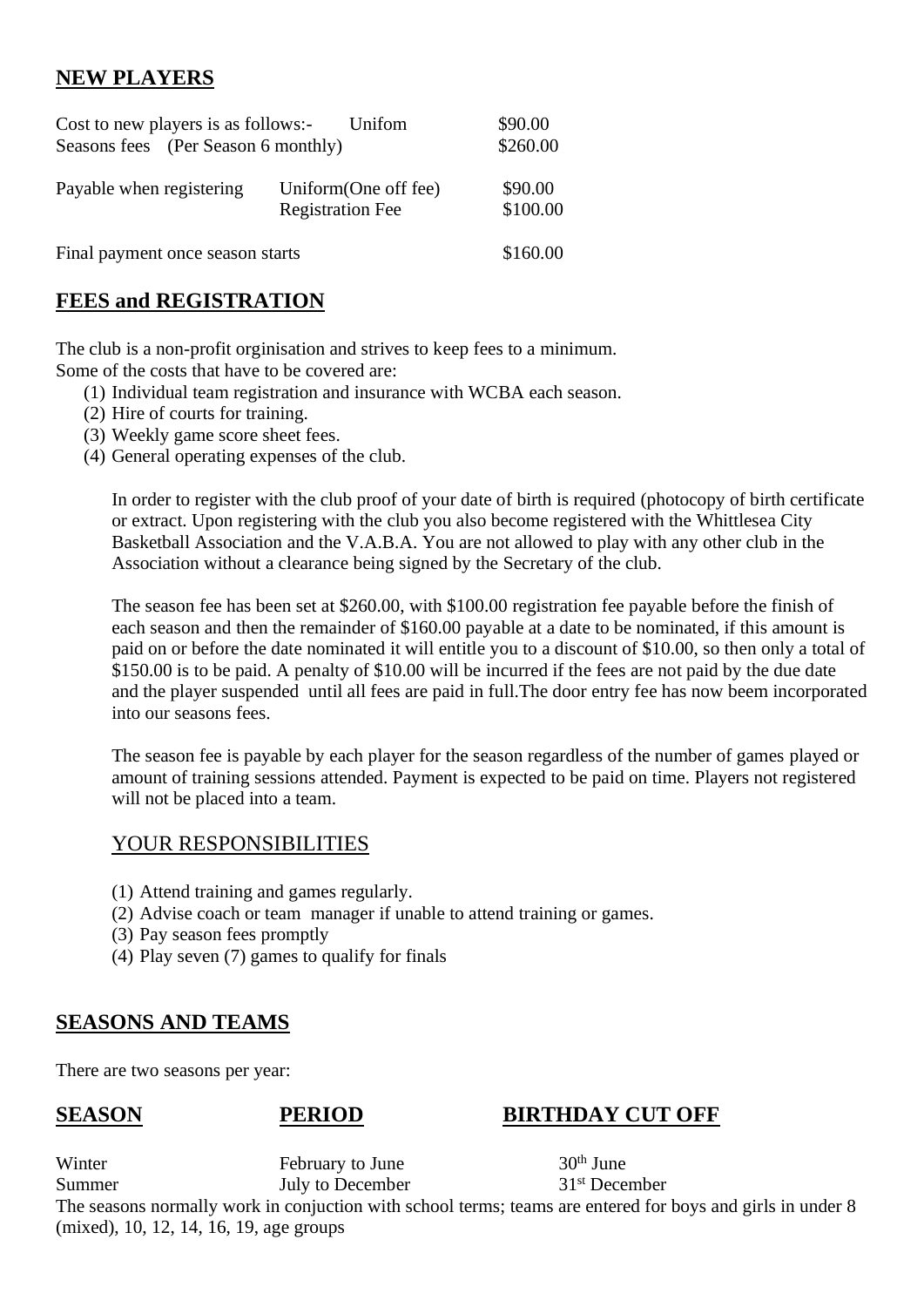## **NEW PLAYERS**

| Cost to new players is as follows:-<br>Seasons fees (Per Season 6 monthly) | \$90.00<br>\$260.00                              |                     |
|----------------------------------------------------------------------------|--------------------------------------------------|---------------------|
| Payable when registering                                                   | Uniform (One off fee)<br><b>Registration Fee</b> | \$90.00<br>\$100.00 |
| Final payment once season starts                                           | \$160.00                                         |                     |

## **FEES and REGISTRATION**

The club is a non-profit orginisation and strives to keep fees to a minimum. Some of the costs that have to be covered are:

- (1) Individual team registration and insurance with WCBA each season.
- (2) Hire of courts for training.
- (3) Weekly game score sheet fees.
- (4) General operating expenses of the club.

In order to register with the club proof of your date of birth is required (photocopy of birth certificate or extract. Upon registering with the club you also become registered with the Whittlesea City Basketball Association and the V.A.B.A. You are not allowed to play with any other club in the Association without a clearance being signed by the Secretary of the club.

The season fee has been set at \$260.00, with \$100.00 registration fee payable before the finish of each season and then the remainder of \$160.00 payable at a date to be nominated, if this amount is paid on or before the date nominated it will entitle you to a discount of \$10.00, so then only a total of \$150.00 is to be paid. A penalty of \$10.00 will be incurred if the fees are not paid by the due date and the player suspended until all fees are paid in full.The door entry fee has now beem incorporated into our seasons fees.

The season fee is payable by each player for the season regardless of the number of games played or amount of training sessions attended. Payment is expected to be paid on time. Players not registered will not be placed into a team.

#### YOUR RESPONSIBILITIES

- (1) Attend training and games regularly.
- (2) Advise coach or team manager if unable to attend training or games.
- (3) Pay season fees promptly
- (4) Play seven (7) games to qualify for finals

#### **SEASONS AND TEAMS**

There are two seasons per year:

### **SEASON PERIOD BIRTHDAY CUT OFF**

Winter February to June 30<sup>th</sup> June Summer July to December 31<sup>st</sup> December

The seasons normally work in conjuction with school terms; teams are entered for boys and girls in under 8 (mixed), 10, 12, 14, 16, 19, age groups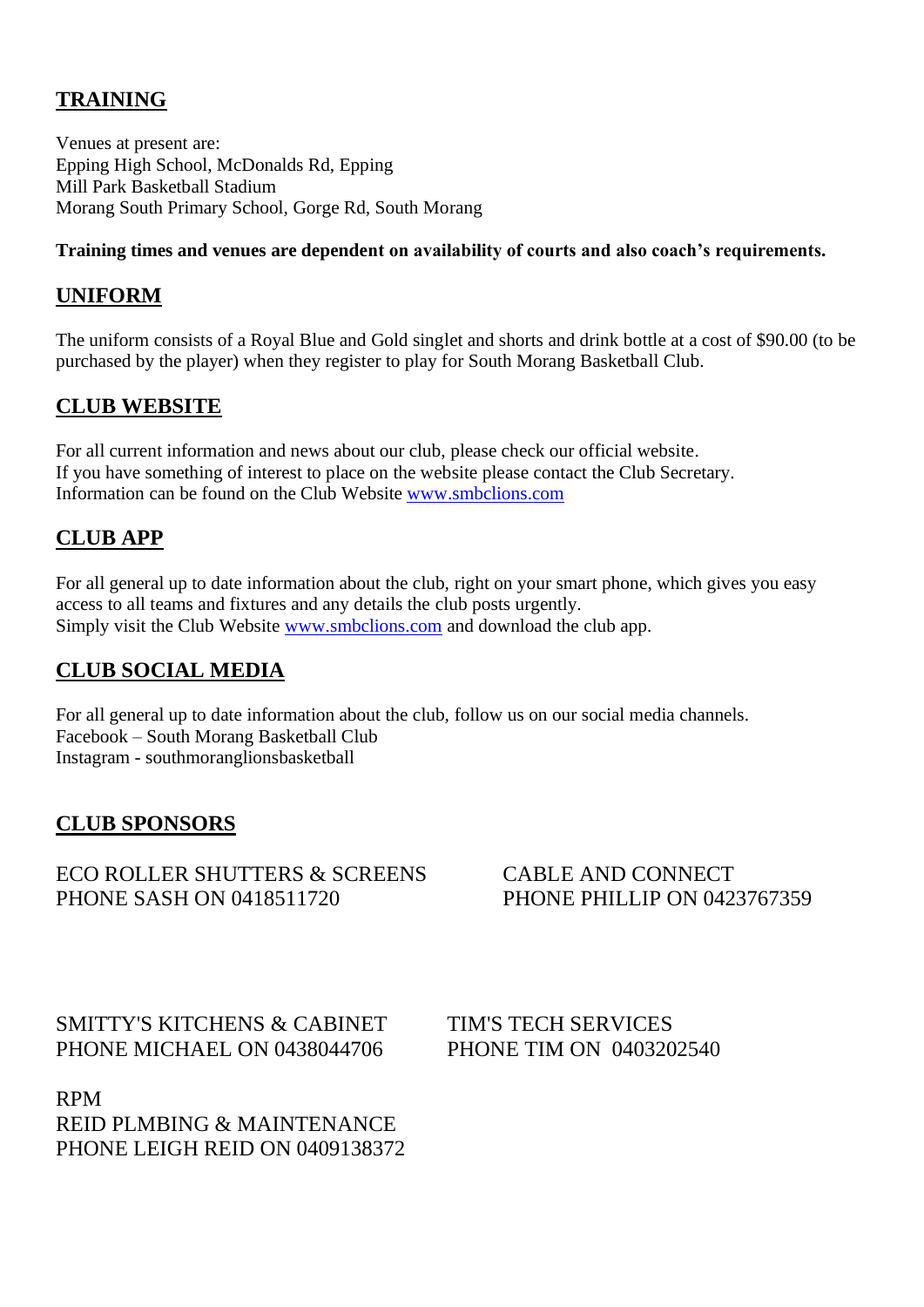## **TRAINING**

Venues at present are: Epping High School, McDonalds Rd, Epping Mill Park Basketball Stadium Morang South Primary School, Gorge Rd, South Morang

#### **Training times and venues are dependent on availability of courts and also coach's requirements.**

### **UNIFORM**

The uniform consists of a Royal Blue and Gold singlet and shorts and drink bottle at a cost of \$90.00 (to be purchased by the player) when they register to play for South Morang Basketball Club.

## **CLUB WEBSITE**

For all current information and news about our club, please check our official website. If you have something of interest to place on the website please contact the Club Secretary. Information can be found on the Club Website [www.smbclions.com](http://www.smbclions.com/)

## **CLUB APP**

For all general up to date information about the club, right on your smart phone, which gives you easy access to all teams and fixtures and any details the club posts urgently. Simply visit the Club Website [www.smbclions.com](http://www.smbclions.com/) and download the club app.

## **CLUB SOCIAL MEDIA**

For all general up to date information about the club, follow us on our social media channels. Facebook – South Morang Basketball Club Instagram - southmoranglionsbasketball

### **CLUB SPONSORS**

#### ECO ROLLER SHUTTERS & SCREENS CABLE AND CONNECT PHONE SASH ON 0418511720 PHONE PHILLIP ON 0423767359

SMITTY'S KITCHENS & CABINET TIM'S TECH SERVICES PHONE MICHAEL ON 0438044706 PHONE TIM ON 0403202540

RPM REID PLMBING & MAINTENANCE PHONE LEIGH REID ON 0409138372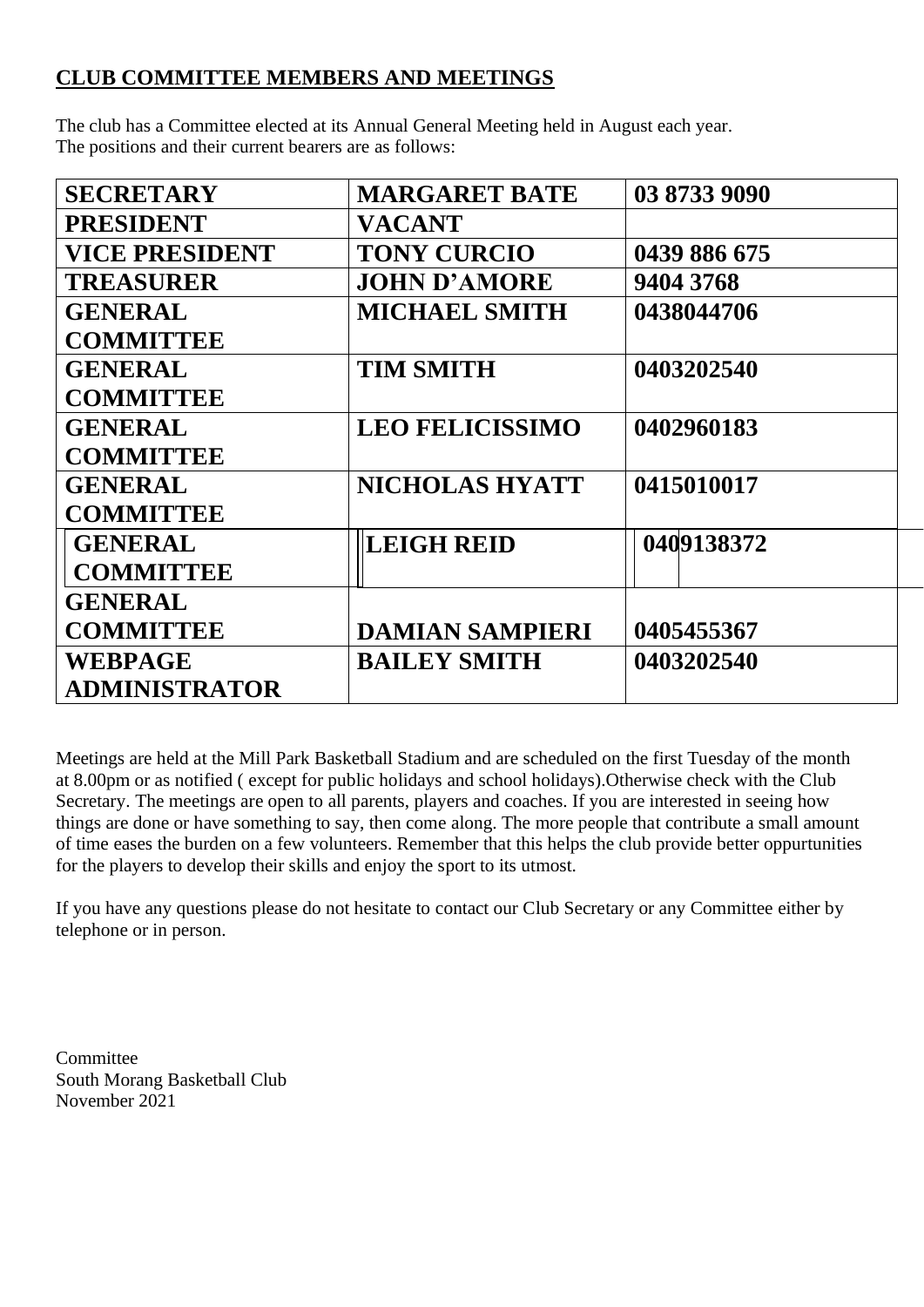## **CLUB COMMITTEE MEMBERS AND MEETINGS**

The club has a Committee elected at its Annual General Meeting held in August each year. The positions and their current bearers are as follows:

| <b>SECRETARY</b>      | <b>MARGARET BATE</b>   | 03 8733 9090 |
|-----------------------|------------------------|--------------|
| <b>PRESIDENT</b>      | <b>VACANT</b>          |              |
| <b>VICE PRESIDENT</b> | <b>TONY CURCIO</b>     | 0439 886 675 |
| <b>TREASURER</b>      | <b>JOHN D'AMORE</b>    | 9404 3768    |
| <b>GENERAL</b>        | <b>MICHAEL SMITH</b>   | 0438044706   |
| <b>COMMITTEE</b>      |                        |              |
| <b>GENERAL</b>        | <b>TIM SMITH</b>       | 0403202540   |
| <b>COMMITTEE</b>      |                        |              |
| <b>GENERAL</b>        | <b>LEO FELICISSIMO</b> | 0402960183   |
| <b>COMMITTEE</b>      |                        |              |
| <b>GENERAL</b>        | <b>NICHOLAS HYATT</b>  | 0415010017   |
| <b>COMMITTEE</b>      |                        |              |
| <b>GENERAL</b>        | <b>LEIGH REID</b>      | 0409138372   |
| <b>COMMITTEE</b>      |                        |              |
| <b>GENERAL</b>        |                        |              |
| <b>COMMITTEE</b>      | <b>DAMIAN SAMPIERI</b> | 0405455367   |
| <b>WEBPAGE</b>        | <b>BAILEY SMITH</b>    | 0403202540   |
| ADMINISTRATOR         |                        |              |

Meetings are held at the Mill Park Basketball Stadium and are scheduled on the first Tuesday of the month at 8.00pm or as notified ( except for public holidays and school holidays).Otherwise check with the Club Secretary. The meetings are open to all parents, players and coaches. If you are interested in seeing how things are done or have something to say, then come along. The more people that contribute a small amount of time eases the burden on a few volunteers. Remember that this helps the club provide better oppurtunities for the players to develop their skills and enjoy the sport to its utmost.

If you have any questions please do not hesitate to contact our Club Secretary or any Committee either by telephone or in person.

Committee South Morang Basketball Club November 2021